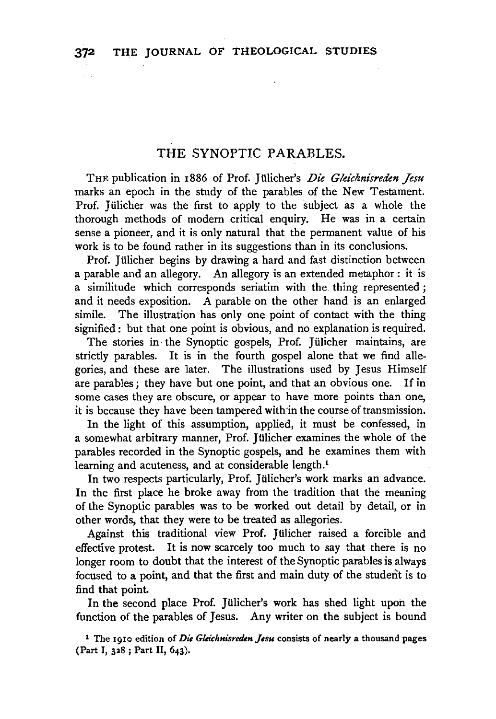### THE SYNOPTIC PARABLES.

THE publication in 1886 of Prof. Jülicher's *Die Gleichnisreden Jesu* marks an epoch in the study of the parables of the New Testament. Prof. Jülicher was the first to apply to the subject as a whole the thorough methods of modern critical enquiry. He was in a certain sense a pioneer, and it is only natural that the permanent value of his work is to be found rather in its suggestions than in its conclusions.

Prof. Jülicher begins by drawing a hard and fast distinction between a parable and an allegory. An allegory is an extended metaphor : it is a similitude which corresponds seriatim with the. thing represented ; and it needs exposition. A parable on the other hand is an enlarged simile. The illustration has only one point of contact with the thing signified: but that one point is obvious, and no explanation is required.

The stories in the Synoptic gospels, Prof. Jülicher maintains, are strictly parables. It is in the fourth gospel alone that we find allegories, and these are later. The illustrations used by Jesus Himself are parables ; they have but one point, and that an obvious one. If in some cases they are obscure, or appear to have more points than one, it is because they have been tampered with in the course of transmission.

In the light of this assumption, applied, it must be confessed, in a somewhat arbitrary manner, Prof. Jiilicher examines the whole of the parables recorded in the Synoptic gospels, and he examines them with learning and acuteness, and at considerable length.<sup>1</sup>

In two respects particularly, Prof. Jülicher's work marks an advance. In the first place he broke away from the tradition that the meaning of the Synoptic parables was to be worked out detail by detail, or in other words, that they were to be treated as allegories.

Against this traditional view Prof. Jiilicher raised a forcible and effective protest. It is now scarcely too much to say that there is no longer room to doubt that the interest of the Synoptic parables is always focused to a point, and that the first and main duty of the student is to find that point

In the second place Prof. Jiilicher's work has shed light upon the function of the parables of Jesus. Any writer on the subject is bound

1 The 1910 edition of *Die Gleichnisreden Jesu* consists of nearly a thousand pages (Part I, 328 ; Part II, 643).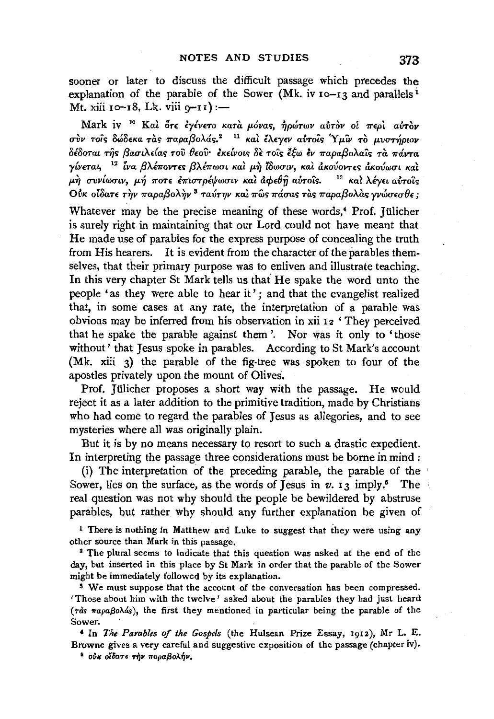sooner or later to discuss the difficult passage which precedes the explanation of the parable of the Sower (Mk. iv  $10 - 13$  and parallels<sup>1</sup> Mt. xiii 10-18, Lk. viii  $q-1$ ) :-

Mark iv 1 ° *Kat on (ylvETO KaTa /)-Ovas,* 1]p~TWV *aVTCJV oi* 7rEpt *aVTov σ*ύν τοις δώδεκα τας παραβολάς.<sup>2</sup><sup>11</sup> και έλεγεν αύτοις 'Υμίν το μυστήριον *oloomt .n)r; f3autA.dar; 'TOV lhov· EKE{votr;* oE: *TOL'O* l~w lv *-rrapaf3oA.a'ir; 'Trt 7ravm y{vEmt,* <sup>12</sup>*lva f3A.l7roVTE'> f3Al-rrwut Kat* P-~ *Zowutv, Kat dKOVOVT£'> dKovwut* Kal  $\mu$ ή συνίωσιν, μή ποτε έπιστρέψωσιν και αφεθή αυτοίς. <sup>13</sup> και λέγει αυτοίς *Ovk otδατε την παραβολην*<sup>3</sup> ταύτην και πως πάσας τας παραβολας γνώσεσθε;

Whatever may be the precise meaning of these words,<sup>4</sup> Prof. Jülicher is surely right in maintaining that our Lord could not have meant that He made use of parables for the express purpose of concealing the truth from His hearers. It is evident from the character of the parables themselves, that their primary purpose was to enliven and illustrate teaching. In this very chapter St Mark tells us that' He spake the word unto the people 'as they were able to hear it' ; and that the evangelist realized that, in some cases at any rate, the interpretation of a parable was obvious may be inferred from his observation in xii 12 'They perceived that he spake the parable against them '. Nor was it only to 'those without' that Jesus spoke in parables. According to St Mark's account (Mk. xiii 3) the parable of the fig-tree was spoken to four of the apostles privately upon the mount of Olives.

Prof. Jülicher proposes a short way with the passage. He would reject it as a later addition to the primitive tradition, made by Christians who had come to regard the parables of Jesus as allegories, and to see mysteries where all was originally plain.

But it is by no means necessary to resort to such a drastic expedient. In interpreting the passage three considerations must be borne in mind :

(i) The interpretation of the preceding parable, the parable of the Sower, lies on the surface, as the words of Jesus in  $v$ ,  $13$  imply.<sup>6</sup> The real question was not why should the people be bewildered by abstruse parables, but rather why should any further explanation be given of

<sup>1</sup> There is nothing in Matthew and Luke to suggest that they were using any other source than Mark in this passage.

<sup>2</sup> The plural seems to indicate that this question was asked at the end of the day, but inserted in this place by St Mark in order that the parable of the Sower might be immediately followed by its explanation.

<sup>3</sup> We must suppose that the account of the conversation has been compressed. 'Those about him with the twelve ' asked about the parables they had just heard  $(\tau \dot{\alpha}s \pi a \rho a \beta o \lambda ds)$ , the first they mentioned in particular being the parable of the Sower.

' In *The Parables of the Gospels* (the Hulsean Prize Essay, 1912), Mr L. E, Browne gives a very careful and suggestive exposition of the passage (chapter iv).

 $^*$  *ous oibare*  $\tau \gamma$ *v παραβολήν.*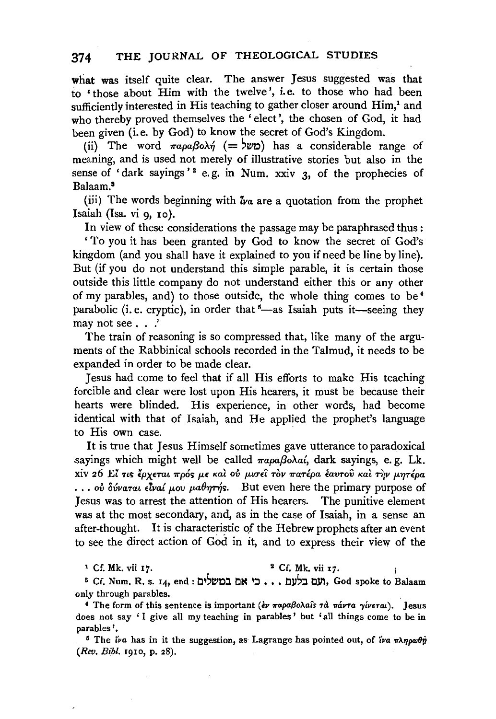what was itself quite clear. The answer Jesus suggested was that to • those about Him with the twelve ', i.e. to those who had been sufficiently interested in His teaching to gather closer around Him,<sup>1</sup> and who thereby proved themselves the 'elect', the chosen of God, it had been given (i.e. by God) to know the secret of God's Kingdom.

(ii) The word  $\pi a \rho a \beta o \lambda n$  (=  $\forall v$ ) has a considerable range of meaning, and is used not merely of illustrative stories but also in the sense of 'dark sayings'<sup>2</sup> e.g. in Num. xxiv  $3$ , of the prophecies of Balaam.8

(iii) The words beginning with *iva* are a quotation from the prophet Isaiah  $(Isa. vi. q. to).$ 

In view of these considerations the passage may be paraphrased thus :

'To you it has been granted by God to know the secret of God's kingdom (and you shall have it explained to you if need be line by line). But (if you do not understand this simple parable, it is certain those outside this little company do not understand either this or any other of my parables, and) to those outside, the whole thing comes to be *<sup>4</sup>* parabolic (i.e. cryptic), in order that  $5$ —as Isaiah puts it—seeing they may not see . . .'

The train of reasoning is so compressed that, like many of the arguments of the Rabbinical schools recorded in the Talmud, it needs to be expanded in order to be made clear.

Jesus had come to feel that if all His efforts to make His teaching forcible and clear were lost upon His hearers, it must be because their hearts were blinded. His experience, in other words, had become identical with that of Isaiah, and He applied the prophet's language to His own case.

It is true that Jesus Himself sometimes gave utterance to paradoxical sayings which might well be called  $\pi a \rho a \beta o \lambda a'$ , dark sayings, e.g. Lk. xiv 26 El τις έρχεται πρός με και ού μισεί τον πατέρα εαυτού και την μητέρα ... ov δύναται είναί μου μαθητής. But even here the primary purpose of Jesus was to arrest the attention of His hearers. The punitive element was at the most secondary, and, as in the case of Isaiah, in a sense an after-thought. It is characteristic of the Hebrew prophets after an event to see the direct action of God in it, and to express their view of the

 $1 \text{ Cf. Mk. vii } 17.$   $2 \text{ Cf. Mk. vii } 17.$ 

s Cf. Num. R. s. 14, end: ני אם במשלים, God spoke to Balaam only through parables.

<sup>4</sup> The form of this sentence is important (*εν παραβολαΐs τα πάντα γίνεται*). Jesus does not say 'I give all my teaching in parables' but 'all things come to be in parables'.

<sup>6</sup> The *iva* has in it the suggestion, as Lagrange has pointed out, of *iva*  $\pi\lambda\eta\rho\omega\theta\hat{y}$ *(Rev. Bibl.* rgro, p. 28).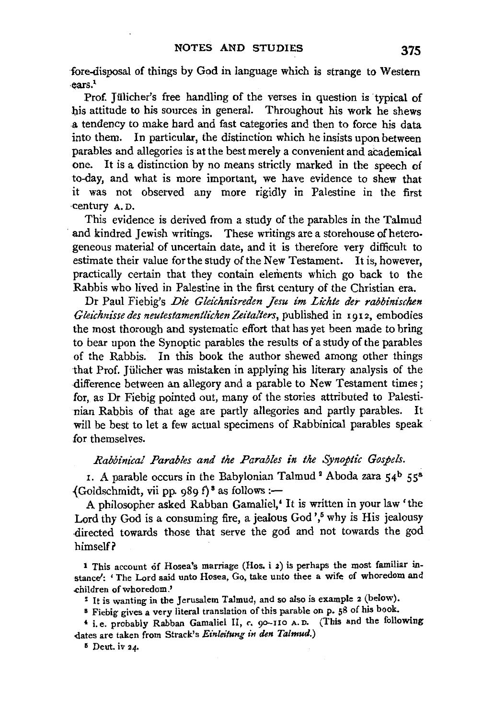fore-disposal of things by God in language which is strange to Western ·ears.1

Prof. Jülicher's free handling of the verses in question is typical of his attitude to his sources in general. Throughout his work he shews a tendency to make bard and fast categories and then to force his data into them. In particular, the distinction which he insists upon between parables and allegories is at the best merely a convenient and academical one. It is a distinction by no means strictly marked in the speech of to-day, and what is more important, we have evidence to shew that it was not observed any more rigidly in Palestine in the first ·century A. D.

This evidence is derived from a study of the parables in the Talmud and kindred Jewish writings. These writings are a storehouse of heterogeneous material of uncertain date, and it is therefore very difficult to estimate their value for the study of the New Testament. It is, however, practically certain that they contain elements which go back to the Rabbis who lived in Palestine in the first century of the Christian era.

Dr Paul Fiebig's *Die Gleichnisreden Jesu im Lichte der rabbinischen Gleichnissedes neutestamentlti:henZeitalters,* published in 1912, embodies the most thorough and systematic effort that has yet been made to bring to bear upon the Synoptic parables the results of a study of the parables of the Rabbis. In this book the author shewed among other things that Prof. Jiilicher was mistaken in applying his literary analysis of the difference between an allegory and a parable to New Testament times; for, as Dr Fiebig pointed out, many of the stories attributed to Palestinian Rabbis of that age are partly allegories and partly parables. It will be best to let a few actual specimens of Rabbinical parables speak for themselves.

*Rabbinical Parables and the Parables in the Synoptic Gospels.* 

1. A parable occurs in the Babylonian Talmud<sup>2</sup> Aboda zara  $54^b$   $55^a$ .  ${Goldschmidt, vii pp. 989 f}$  as follows:-

A philosopher asked Rabban Gamaliel,• It is written in yourlaw 'the Lord thy God is a consuming fire, a jealous God',<sup>5</sup> why is His jealousy directed towards those that serve the god and not towards the god himself?

1 This account of Hosea's marriage (Hos. i 2) is perhaps the most familiar instance': 'The Lord said unto Hosea, Go, take unto thee a wife of whoredom and .children of whoredom.'

<sup>2</sup>It is wanting in the Jerusalem Talmud, and so also is example 2 (below).

<sup>8</sup> Fiebig gives a very literal translation of this parable on p. 58 of his book.

**<sup>t</sup>**i.e. probably Rabban Gamaliel II, *c.* 9o-11o A. o. (This and the following dates are taken from Strack's *Einleitung in den Talmud.*)

 $5$  Deut. iv 24.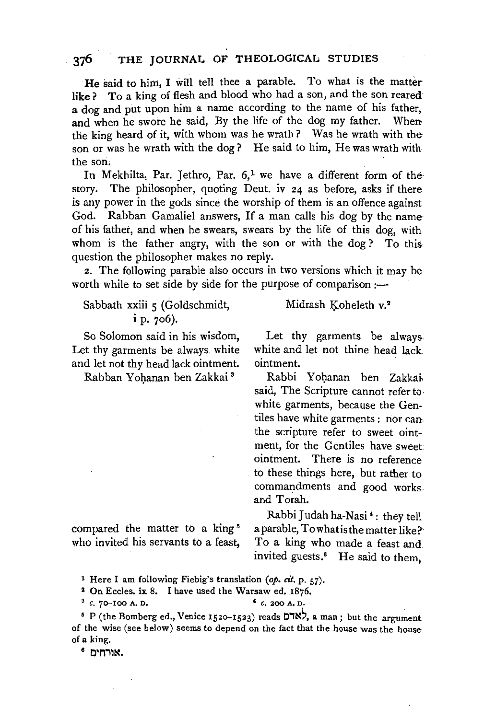### **376 THE JOURNAL OF THEOLOGICAL STUDIES**

**He** said to him, I will tell thee a parable. To what is the matter like? To a king of flesh and blood who had a son, and the son reared **a** dog and put upon him a name according to the name of his father, and when he swore he said, By the life of the dog my father. When the king heard of it, with whom was he wrath? Was he wrath with the son or was he wrath with the dog? He said to him, He was wrath with the son.

In Mekhilta, Par. Jethro, Par.  $6<sup>1</sup>$  we have a different form of the story. The philosopher, quoting Deut. iv 24 as before, asks if there is any power in the gods since the worship of them is an offence against God. Rabban Gamaliel answers, If a man calls his dog by the name of his father, and when he swears, swears by the life of this dog, with whom is the father angry, with the son or with the dog? To this question the philosopher makes no reply.

2. The following parable also occurs in two versions which it may be worth while to set side by side for the purpose of comparison :-

### Sabbath xxiii 5 (Goldschmidt, **i** p. 706).

So Solomon said in his wisdom, Let thy garments be always white and let not thy head lack ointment.

Rabban Yohanan ben Zakkai<sup>3</sup>

Midrash Koheleth v.<sup>2</sup>

Let thy garments be always. white and let not thine head lack ointment.

Rabbi Yohanan ben Zakkai. said, The Scripture cannot refer to. white garments, because the Gentiles have white garments : nor can. the scripture refer to sweet ointment, for the Gentiles have sweet ointment. There is no reference to these things here, but rather to commandments and good works and Torah.

compared the matter to a king<sup>5</sup> who invited his servants to a feast,

Rabbi Judah ha-Nasi •: they tell a parable, Towhatisthe matter like? To a king who made a feast and invited guests.<sup>6</sup> He said to them.

<sup>2</sup> On Eccles. ix 8. I have used the Warsaw ed. 1876.

 $3c. 70-100$  A. D.  $4c. 200$  A. D.

<sup>5</sup> P (the Bomberg ed., Venice 1520-1523) reads DTN7, a man; but the argument of the wise (see below) seems to depend on the fact that the house was the house of a king.

6 **o•nilN.** 

<sup>&</sup>lt;sup>1</sup> Here I am following Fiebig's translation (op. cit. p. 57).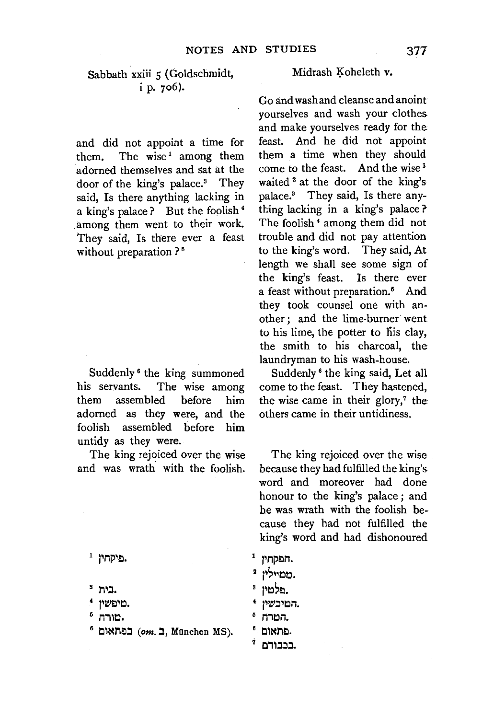### Sabbath xxiii 5 (Goldschmidt, i p. 706).

and did not appoint a time for them. The wise<sup>1</sup> among them adorned themselves and sat at the door of the king's palace.<sup>3</sup> They said, Is there anything lacking in a king's palace? But the foolish 4 among them went to their work. They said, Is there ever a feast without preparation ?<sup>5</sup>

Suddenly 6 the king summoned his servants. The wise among them assembled before him adorned as they were, and the foolish assembled before him untidy as they were.

The king rejoiced over the wise and was wrath with the foolish.

פיקחיו<sup>1</sup>.

- .בית <sup>3</sup>
- מיפשיו.
- מורח 5.
- $^6$  0m. במאום (om. 1, München MS).

#### Midrash Koheleth v.

Go and wash and cleanse and anoint yourselves and wash your clothes and make yourselves ready for the feast. And he did not appoint them a time when they should come to the feast. And the wise<sup>1</sup> waited <sup>2</sup> at the door of the king's palace.8 They said, Is there anything lacking in a king's palace? The foolish • among them did not trouble and did not pay attention to the king's word. They said, At length we shall see some sign of the king's feast. Is there ever a feast without preparation.<sup>5</sup> And they took counsel one with another; and the lime-burner· went to his lime, the potter to his clay, the smith to his charcoal, the laundryman to his wash-house.

Suddenly 6 the king said, Let all come to the feast. They hastened, the wise came in their glory,<sup>7</sup> the others came in their untidiness.

The king rejoiced over the wise because they had fulfilled the king's word and moreover had done honour to the king's palace ; and he was wrath with the foolish because they had not fulfilled the king's word and had dishonoured

- $1$  הפקחיו.
- מטייליו ?.
- s ~~~~El.
- המיכשיו.
- 5 המרה.
- $^6$ . פתאום.
- $^{\rm 7}$  בכבודם.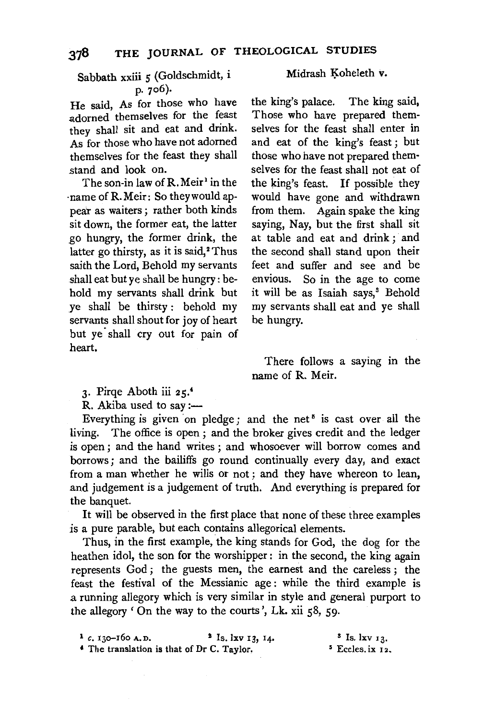## Sabbath xxiii 5 (Goldschmidt, i p. 706).

He said, As for those who have adorned themselves for the feast they shall sit and eat and drink. As for those who have not adorned themselves for the feast they shall stand and look on.

The son-in law of R. Meir<sup>1</sup> in the ·name of R. Meir: So they would appear as waiters ; rather both kinds sit down, the former eat, the latter go hungry, the former drink, the latter go thirsty, as it is said,<sup>2</sup> Thus saith the Lord, Behold my servants .shall eat but ye shall be hungry: behold my servants shall drink but ye shall be thirsty : behold my servants shall shout for joy of heart but ye shall cry out for pain of heart.

#### Midrash Koheleth v.

the king's palace. The king said, Those who have prepared themselves for the feast shall enter in and eat of the king's feast ; but those who have not prepared them· selves for the feast shall not eat of the king's feast. If possible they would have gone and withdrawn from them. Again spake the king saying, Nay, but the first shall sit at table and eat and drink ; and the second shall stand upon their feet and suffer and see and be envious. So in the age to come it will be as Isaiah says,<sup>3</sup> Behold my servants shall eat and ye shall be hungry.

There follows a saying in the name of R. Meir.

3· Pirqe Aboth iii 25.'

R. Akiba used to say :-

Everything is given on pledge; and the net<sup>5</sup> is cast over all the living. The office is open ; and the broker gives credit and the ledger is open; and the hand writes ; and whosoever will borrow comes and borrows; and the bailiffs go round continually every day, and exact from a man whether he wills or not ; and they have whereon to lean, and judgement is a judgement of truth. And everything is prepared for the banquet.

It will be observed in the first place that none of these three examples *is* a pure parable, but each contains allegorical elements.

Thus, in the first example, the king stands for God, the dog for the heathen idol, the son for the worshipper : in the second, the king again represents God ; the guests men, the earnest and the careless ; the feast the festival of the Messianic age : while the third example is a running allegory which is very similar in style and general purport to the allegory 'On the way to the courts', Lk. xii 58, 59.

| $1c. 130-160 A.D.$                                    | $2$ Is. $1xy$ 13, 14. | $3$ Is, $1xy$ 13,           |
|-------------------------------------------------------|-----------------------|-----------------------------|
| <sup>4</sup> The translation is that of Dr C. Taylor. |                       | <sup>5</sup> Eccles. ix 12. |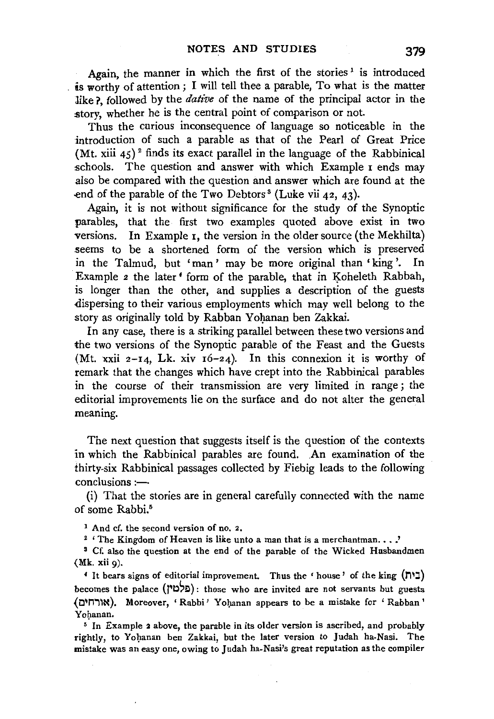Again, the manner in which the first of the stories<sup>1</sup> is introduced . is worthy of attention; I will tell thee a parable, To what is the matter like?, followed by the *dative* of the name of the principal actor in the story, whether he is the central point of comparison or not.

Thus the curious inconsequence of language so noticeable in the introduction of such a parable as that of the Pearl of Great Price (Mt. xiii  $45$ )<sup>2</sup> finds its exact parallel in the language of the Rabbinical schools. The question and answer with which Example  $\bar{I}$  ends may also be compared with the question and answer which are found at the end of the parable of the Two Debtors<sup>3</sup> (Luke vii  $42, 43$ ).

Again, it is not without significance for the study of the Synoptic parables, that the first two examples quoted above exist in two versions. In Example 1, the version in the older source (the Mekhilta) .seems to be a shortened form of the version which is preserved in the Talmud, but 'man' may be more original than 'king '. In Example 2 the later<sup>4</sup> form of the parable, that in Koheleth Rabbah, is longer than the other, and supplies a description of the guests dispersing to their various employments which may well belong to the story as originally told by Rabban Yohanan ben Zakkai.

In any case, there is a striking parallel between these two versions and the two versions of the Synoptic parable of the Feast and the Guests (Mt. xxii  $2-I4$ , Lk. xiv  $16-24$ ). In this connexion it is worthy of remark that the changes which have crept into the Rabbinical parables in the course of their transmission are very limited in range ; the editorial improvements lie on the surface and do not alter the general meaning.

The next question that suggests itself is the question of the contexts in which the Rabbinical parables are found. An examination of the thirty-six Rabbinical passages collected by Fiebig leads to the following  $conclusions \rightarrow$ 

(i) That the stories are in general carefully connected with the name of some Rabbi.<sup>5</sup>

<sup>1</sup> And cf. the second version of no. 2.

<sup>2</sup> ' The Kingdom of Heaven is like unto a man that is a merchantman...<sup>7</sup> Cf. also the question at the end of the parable of the Wicked Husbandmen

 $(Mk. xii o).$ 

' It bears signs of editorial improvement. Thus the 'house' of the king (711:::1) becomes the palace (מלמין): those who are invited are not servants but guests (אורחים). Moreover, 'Rabbi' Yohanan appears to be a mistake for 'Rabban' Yohanan.

 $<sup>5</sup>$  In Example 2 above, the parable in its older version is ascribed, and probably</sup> rightly, to Yohanan ben Zakkai, but the later version to Judah ha-Nasi. The mistake was an easy one, owing to Judah ha-Nasi's great reputation as the compiler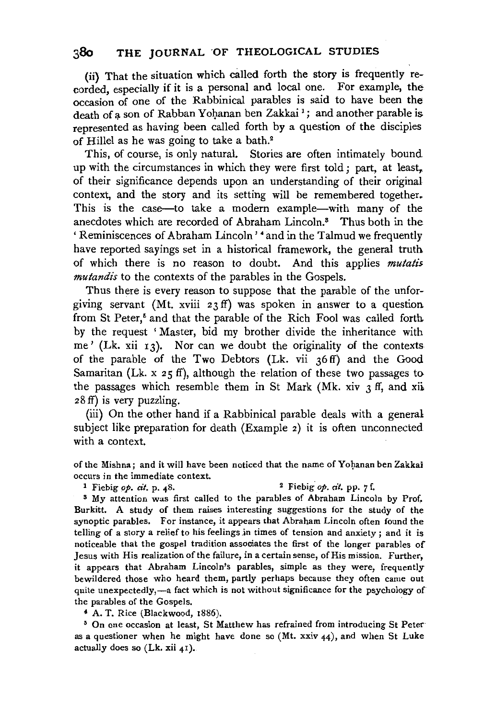(ii} That the situation which cailed forth the story is frequently recorded, especially if it is a personal and local one. For example, the occasion of one of the Rabbinical parables is said to have been the death of a son of Rabban Yohanan ben Zakkai<sup>1</sup>; and another parable is represented as having been called forth by a question of the disciples of Hillel as he was going to take a bath.2

This, of course, is only natural. Stories are often intimately bound up with the circumstances in which they were first told; part, at least, of their significance depends upon an understanding of their original context, and the story and its setting will be remembered together. This is the case-to take a modern example-with many of the anecdotes which are recorded of Abraham Lincoln.8 Thus both in the 'Reminiscences of Abraham Lincoln' 4 and in the Talmud we frequently have reported sayings set in a historical framework, the general truth of which there is no reason to doubt. And this applies *mutatis. mutandis* to the contexts of the parables in the Gospels.

Thus there is every reason to suppose that the parable of the unforgiving servant (Mt. xviii 23 ff) was spoken in answer to a question from St Peter,<sup>5</sup> and that the parable of the Rich Fool was called forth by the request ' Master, bid my brother divide the inheritance with me' (Lk. xii  $13$ ). Nor can we doubt the originality of the contexts of the parable of the Two Debtors (Lk. vii 36 ff) and the Good Samaritan (Lk.  $x$  25 ff), although the relation of these two passages to the passages which resemble them in St Mark (Mk. xiv  $\chi$  ff, and xii 28 ff) is very puzzling.

(iii) On the other hand if a Rabbinical parable deals with a general subject like preparation for death (Example 2) it is often unconnected with a context.

of the Mishna; and it will have been noticed that the name of Yohanan ben Zakkai occurs in the immediate context.

1 Fiebig *op. cit.* p. 48. 2 Fiebig. *op. cit.* pp. 7 f.

s My attention was first called to the parables of Abraham Lincoln by Prof. Burkitt. A study of them raises interesting suggestions for the study of the synoptic parables. For instance, it appears that Abraham Lincoln often found the telling of a story a relief to his feelings in times of tension and anxiety ; and it is noticeable that the gospel tradition associates the first of the longer parables of Jesus with His realization of the failure, in a certain sense, of His mission. Further, it appears that Abraham Lincoln's parables, simple as they were, frequently bewildered those who heard them, partly perhaps because they often came out quite unexpectedly,-a fact which is not without significance for the psychology of the parables of the Gospels.

<sup>4</sup>A. T. Rice (Blackwood, 1886).

• On one occasion at least, St Matthew has refrained from introducing St Peter· as a questioner when he might have done so  $(Mt, xxiv 44)$ , and when St Luke actually does so (Lk. xii 4r).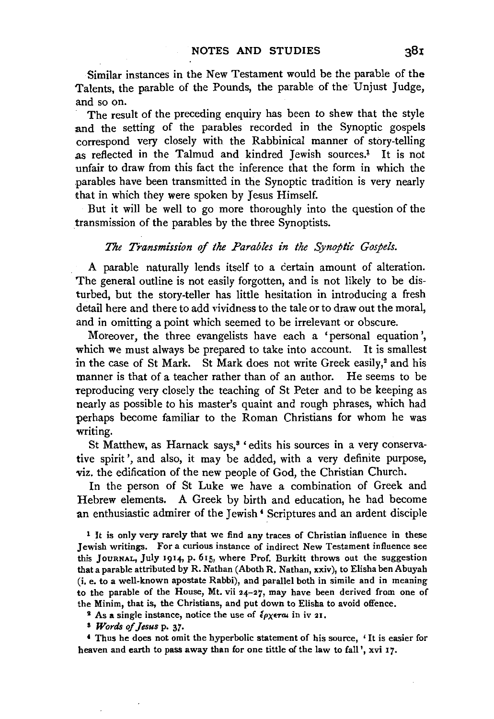Similar instances in the New Testament would be the parable of the Talents, the parable of the Pounds, the parable of the Unjust Judge, and so on.

The result of the preceding enquiry has been to shew that the style and the setting of the parables recorded in the Synoptic gospels correspond very closely with the Rabbinical manner of story-telling as reflected in the Talmud and kindred Jewish sources.<sup>1</sup> It is not unfair to draw from this fact the inference that the form in which the parables have been transmitted in the Synoptic tradition is very nearly that in which they were spoken by Jesus Himself.

But it will be well to go more thoroughly into the question of the .transmission of the parables by the three Synoptists.

#### *The Transmission of the Parables in the Synoptic Gospels.*

A parable naturally lends itself to a certain amount of alteration. The general outline is not easily forgotten, and is not likely to be disturbed, but the story-teller has little hesitation in introducing a fresh detail here and there to add vividness to the tale or to draw out the moral, and in omitting a point which seemed to be irrelevant or obscure.

Moreover, the three evangelists have each a 'personal equation', which we must always be prepared to take into account. It is smallest in the case of St Mark. St Mark does not write Greek easily,<sup>2</sup> and his manner is that of a teacher rather than of an author. He seems to be reproducing very closely the teaching of St Peter and to be keeping as nearly as possible to his master's quaint and rough phrases, which had perhaps become familiar to the Roman Christians for whom he was writing.

St Matthew, as Harnack says,<sup>3</sup> 'edits his sources in a very conservative spirit', and also, it may be added, with a very definite purpose, viz. the edification of the new people of God, the Christian Church.

In the person of St Luke we have a combination of Greek and Hebrew elements. A Greek by birth and education, he had become an enthusiastic admirer of the Jewish' Scriptures and an ardent disciple

 $1$  It is only very rarely that we find any traces of Christian influence in these Jewish writings. For a curious instance of indirect New Testament influence see this JouRNAL, July 1914, p. 615, where Prof. Burkitt throws out the suggestion that a parable attributed by R. Nathan (Aboth R. Nathan, xxiv), to Elisha ben Abuyah (i. e. to a well-known apostate Rabbi), and parallel both in simile and in meaning to the parable of the House, Mt. vii  $24-27$ , may have been derived from one of the Minim, that is, the Christians, and put down to Elisha to avoid offence.

<sup>2</sup> As a single instance, notice the use of  $\ell_{PX}$ eral in iv 21.

a *Words of jesus* p. 37·

' Thus he does not omit the hyperbolic statement of his source, ' It is easier for heaven and earth to pass away than for one tittle of the law to fall ', xvi 17.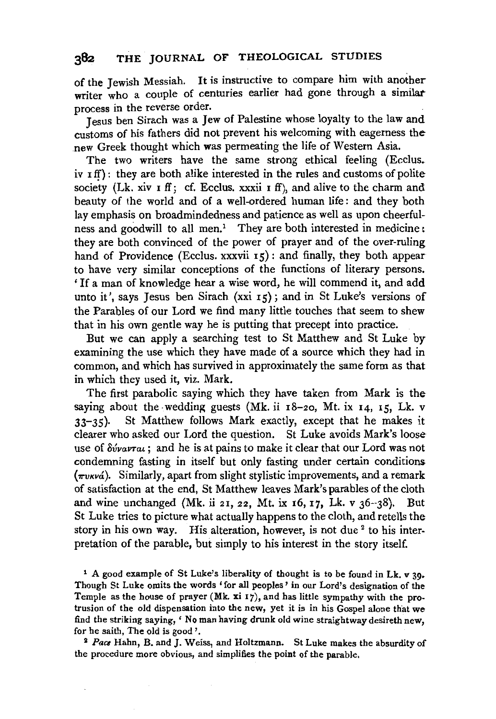## **382 THE** JOURNAL OF THEOLOGICAL STUDIES

of the Jewish Messiah. It is instructive to compare him with another writer who a couple of centuries earlier had gone through a similarprocess in the reverse order.

Jesus ben Sirach was a Jew of Palestine whose loyalty to the law and customs of his fathers did not prevent his welcoming with eagerness the .new Greek thought which was permeating the life of Western Asia.

The two writers have the same strong ethical feeling (Ecclus.  $iv$   $if$ ): they are both alike interested in the rules and customs of polite society (Lk. xiv  $\mathbf{I}$  ff; cf. Ecclus. xxxii  $\mathbf{I}$  ff), and alive to the charm and beauty of the world and of a well-ordered human life : and they both lay emphasis on broadmindedness and patience as well as upon cheerfulness and goodwill to all men.<sup>1</sup> They are both interested in medicine: they are both convinced of the power of prayer and of the over-ruling hand of Providence (Ecclus. xxxvii 15): and finally, they both appear to have very similar conceptions of the functions of literary persons. ' If a man of knowledge hear a wise word, he will commend it, and add unto it', says Jesus ben Sirach (xxi  $15$ ); and in St Luke's versions of the Parables of our Lord we find many little touches that seem to shew that in his own gentle way he is putting that precept into practice.

But we can apply a searching test to St Matthew and St Luke by examining the use which they have made of a source which they had in common, and which has survived in approximately the same form as that in which they used it, viz. Mark.

The first parabolic saying which they have taken from Mark is the saying about the wedding guests (Mk. ii  $18-20$ , Mt. ix  $14$ ,  $15$ , Lk. v 33-35). St Matthew follows Mark exactly, except that he makes it clearer who asked our Lord the question. St Luke avoids Mark's loose use of  $\delta v \nu \alpha \nu \tau \alpha t$ ; and he is at pains to make it clear that our Lord was not condemning fasting in itself but only fasting under certain conditions  $(\pi v \kappa v \phi)$ . Similarly, apart from slight stylistic improvements, and a remark of satisfaction at the end, St Matthew leaves Mark's parables of the cloth and wine unchanged (Mk. ii 21, 22, Mt. ix 16, 17, Lk. v  $36-38$ ). But St Luke tries to picture what actually happens to the cloth, and retells the story in his own way. His alteration, however, is not due <sup>2</sup> to his interpretation of the parable, but simply to his interest in the story itself.

1 A good example of St Luke's liberality of thought is to be found in Lk. v 39• Though St Luke omits the words 'for all peoples' in our Lord's designation of the Temple as the house of prayer (Mk.  $xi$ i 17), and has little sympathy with the protrusion of the old dispensation into the new, yet it is in his Gospel alone that we find the striking saying, ' No man having drunk old wine straightway desireth new, for he saith, The old is good '. 2 *Pace* Hahn, B. and J. Weiss, and Holtzmann. St Luke makes the absurdity of

the procedure more obvious, and simplifies the point of the parable.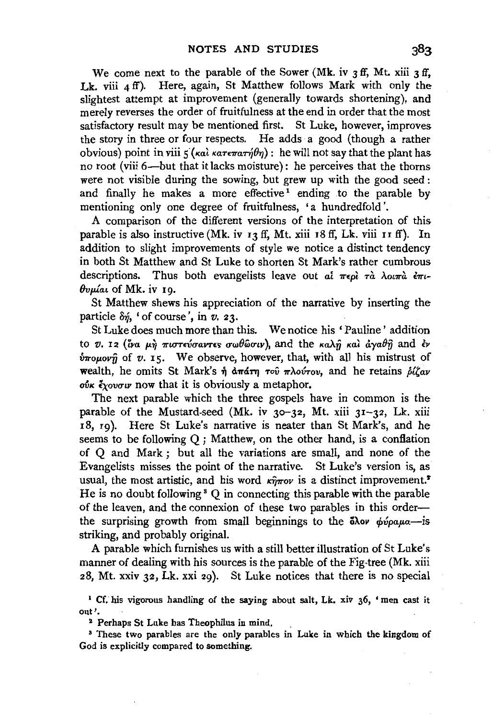We come next to the parable of the Sower (Mk. iv  $3$  ff, Mt. xiii  $3$  ff, Lk. viii 4 ff). Here, again, St Matthew follows Mark with only the slightest attempt at improvement (generally towards shortening), and merely reverses the order of fruitfulness at the end in order that the most satisfactory result may be mentioned first. St Luke, however, improves the story in three or four respects. He adds a good (though a rather obvious) point in viii  $\zeta(\kappa a)$   $\kappa a \tau \epsilon \pi a \tau \eta \theta \eta$ : he will not say that the plant has no root (viii 6-but that it lacks moisture) : he perceives that the thorns were not visible during the sowing, but grew up with the good seed : and finally he makes a more effective<sup>1</sup> ending to the parable by mentioning only one degree of fruitfulness, 'a hundredfold'.

A comparison of the different versions of the interpretation of this parable is also instructive (Mk. iv 13 ff, Mt. xiii 18 ff, Lk. viii 11 ff). In addition to slight improvements of style we notice a distinct tendency in both St Matthew and St Luke to shorten St Mark's rather cumbrous descriptions. Thus both evangelists leave out al  $\pi \epsilon \rho \hat{i}$   $\pi \hat{a}$   $\lambda$ ou $\pi \hat{a}$   $\epsilon \pi \iota$ -*BvplaL* of Mk. iv I9.

St Matthew shews his appreciation of the narrative by inserting the particle &], 'of course', in *v.* 23.

St Luke does much more than this. We notice his ' Pauline ' addition to *v. 12 (ίνα μή πιστεύσαντες σωθώσιν*), and the *καλή και άγαθή* and έν *<i>ν*πομονή of *v*. 15. We observe, however, that, with all his mistrust of wealth, he omits St Mark's ή απάτη του πλούτου, and he retains *biζαν* oύκ έχουσιν now that it is obviously a metaphor.

The next parable which the three gospels have in common is the parable of the Mustard-seed (Mk. iv  $30-32$ , Mt. xiii  $31-32$ , Lk. xiii I8, 19). Here St Luke's narrative is neater than St Mark's, and he seems to be following Q ; Matthew, on the other hand, is a conflation of Q and Mark ; but all the variations are small, and none of the Evangelists misses the point of the narrative. St Luke's version is, as usual, the most artistic, and his word  $\kappa \hat{\eta} \pi o \nu$  is a distinct improvement.<sup>2</sup> He is no doubt following<sup>3</sup> Q in connecting this parable with the parable of the leaven, and the connexion of these two parables in this orderthe surprising growth from small beginnings to the  $\delta \lambda$ ov  $\phi \nu \rho \alpha \mu \alpha$ -is striking, and probably original.

A parable which furnishes us with a still better illustration of St Luke's manner of dealing with his sources is the parable of the Fig-tree (Mk. xiii 28, Mt. xxiv 32, Lk. xxi 29). St Luke notices that there is no special

<sup>1</sup> Cf. his vigorous handling of the saying about salt, Lk. xiv 36, 'men cast it out'.<br><sup>2</sup> Perhaps St Luke has Theophilus in mind.

<sup>3</sup> These two parables are the only parables in Luke in which the kingdom of God is explicitly compared to something.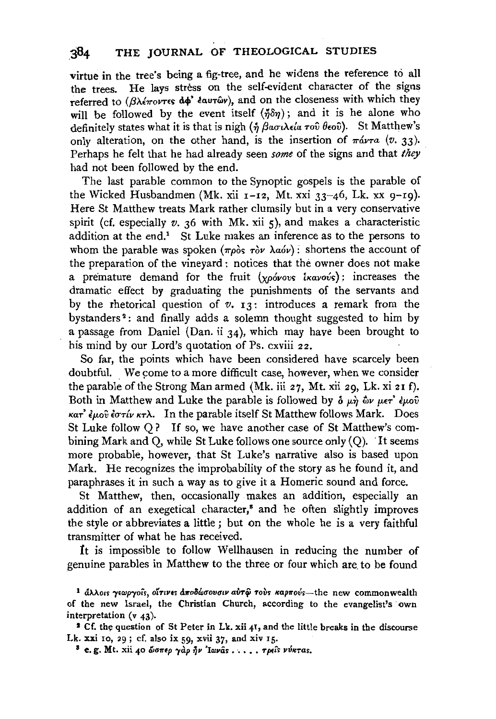virtue in the tree's being a fig-tree, and he widens the reference to all the trees. He lays stress on the self-evident character of the signs referred to ( $\beta\lambda$ *'erovres* do' *éaurûr*), and on the closeness with which they will be followed by the event itself  $(\eta \delta \eta)$ ; and it is he alone who definitely states what it is that is nigh  $(\eta \beta \alpha \sigma \lambda \epsilon \alpha \tau \sigma \hat{v} \theta \epsilon \sigma \hat{v})$ . St Matthew's only alteration, on the other hand, is the insertion of  $\pi \omega \tau a$  (v. 33). Perhaps he felt that he had already seen *some* of the signs and that *they*  had not been followed by the end.

The last parable common to the Synoptic gospels is the parable of the Wicked Husbandmen (Mk. xii  $1-I2$ , Mt. xxi  $33-46$ , Lk. xx  $9-I9$ ). Here St Matthew treats Mark rather clumsily but in a very conservative spirit (cf. especially  $v$ ,  $36$  with Mk, xii  $5$ ), and makes a characteristic addition at the end.<sup>1</sup> St Luke makes an inference as to the persons to whom the parable was spoken ( $\pi \rho \delta s$   $\tau \delta \nu$   $\lambda \alpha \delta \nu$ ): shortens the account of the preparation of the vineyard : notices that the owner does not make a premature demand for the fruit (xpóvovs ikavovs): increases the dramatic effect by graduating the punishments of the servants and by the rhetorical question of *v.* 13: introduces a remark from the bystanders<sup>2</sup>: and finally adds a solemn thought suggested to him by a passage from Daniel (Dan. ii 34), which may have been brought to his mind by our Lord's quotation of Ps. cxviii 22.

So far, the points which have been considered have scarcely been doubtful. We come to a more difficult case, however, when we consider the parable of the Strong Man armed (Mk. iii 27, Mt. xii 29, Lk. xi 21 f). Both in Matthew and Luke the parable is followed by  $\delta \mu \hat{n} \, \hat{\omega} \nu \mu \epsilon \hat{r}^2 \epsilon \mu \omega \hat{v}$ *KaT' £p.ov £uT{v KTA.* In the parable itself St Matthew follows Mark. Does St Luke follow Q? If so, we have another case of St Matthew's combining Mark and  $\overline{O}$ , while St Luke follows one source only  $(O)$ . It seems more probable, however, that St Luke's narrative also is based upon Mark. He recognizes the improbability of the story as he found it, and paraphrases it in such a way as to give it a Homeric sound and force.

St Matthew, then, occasionally makes an addition, especially an addition of an exegetical character,<sup>8</sup> and he often slightly improves the style or abbreviates a little ; but on the whole he is a very faithful transmitter of what he has received.

*1t* is impossible to follow Wellhausen in reducing the number of genuine parables in Matthew to the three or four which are. to be found

Lk. xxi 10, 29; cf. also ix 59, xvii 37, and xiv 15.<br>8 e. g. Mt. xii 40 ώσπερ γαρ ήν 'Iωναs . . . . . τρείs νύκταs.

<sup>&</sup>lt;sup>1</sup> άλλοις γεωργοίς, οΐτινες αποδώσουσιν αὐτῷ τοὺς καρπούς-- the new commonwealth of the new Israel, the Christian Church, according to the evangelist's own interpretation (v 43).<br><sup>2</sup> Cf. the question of St Peter in Lk. xii 41, and the little breaks in the discourse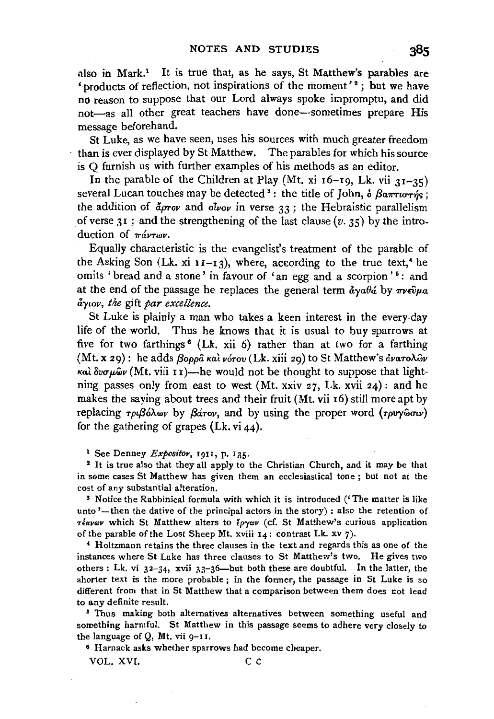also in Mark.<sup>1</sup> It is true that, as he says, St Matthew's parables are 'products of reflection, not inspirations of the moment'<sup>2</sup>; but we have no reason to suppose that our Lord always spoke impromptu, and did not-as all other great teachers have done-sometimes prepare His message beforehand.

St Luke, as we have seen, uses his sources with much greater freedom than is ever displayed by St Matthew. The parables for which his source is Q furnish us with further examples of his methods as an editor.

In the parable of the Children at Play (Mt. xi  $16-19$ , Lk. vii  $31-35$ ) several Lucan touches may be detected <sup>3</sup>: the title of John,  $\delta$   $\beta$ a $\pi\pi\pi\gamma\gamma\gamma\gamma$ ; the addition of  $\vec{a}$ *prov* and *otvov* in verse 33; the Hebraistic parallelism of verse  $31$ ; and the strengthening of the last clause (v. 35) by the introduction of  $\pi \omega r \omega \nu$ .

Equally characteristic is the evangelist's treatment of the parable of the Asking Son (Lk. xi  $11-I3$ ), where, according to the true text,<sup>4</sup> he omits 'bread and a stone' in favour of 'an egg and a scorpion'<sup>5</sup>: and at the end of the passage he replaces the general term  $\frac{d}{d\alpha}\partial_{\alpha}$  by  $\pi\nu\epsilon\hat{v}\mu a$ *aywv, the* gift *par excellence.* 

St Luke is plainly a man who takes a keen interest in the every-day life of the world. Thus he knows that it is usual to buy sparrows at five for two farthings<sup>6</sup> (Lk. xii 6) rather than at two for a farthing (Mt. x 29): he adds *{3oppa KaL vorov* (Lk. xiii 29) to St Matthew's *&varoAwv Kal Bvup.wv* (Mt. viii I 1 )-he would not be thought to suppose that lightning passes only from east to west (Mt. xxiv  $27$ , Lk. xvii  $24$ ): and he makes the saying about trees and their fruit (Mt. vii 16) still more apt by replacing *τριβόλων* by *βάτον*, and by using the proper word (τρυγώσιν) for the gathering of grapes  $(Lk, vi44)$ .

<sup>1</sup> See Denney *Expositor*, 1911, p. 135.<br><sup>2</sup> It is true also that they all apply to the Christian Church, and it may be that in some cases St Matthew has given them an ecclesiastical tone ; but not at the cost of any substantial alteration.

s Notice the Rabbinical formula with which it is introduced ('The matter is like unto  $'$ --then the dative of the principal actors in the story) : also the retention of *TERVOV* which St Matthew alters to Epyov (cf. St Matthew's curious application of the parable of the Lost Sheep Mt. xviii  $14$ : contrast Lk. xv 7).

4 Holtzmann retains the three clauses in the text and regards this as one of the instances where St Luke has three clauses to St Matthew's two. He gives two others : Lk. vi  $32-34$ , xvii  $33-36$ —but both these are doubtful. In the latter, the shorter text is the more probable ; in the former, the passage in St Luke is so different from that in St Matthew that a comparison between them does not lead to any definite result.<br>5 Thus making both alternatives alternatives between something useful and

something harmful. St Matthew in this passage seems to adhere very closely to the language of Q, Mt. vii 9-II.

6 Harnack asks whether sparrows had become cheaper.

VOL. XVI. C C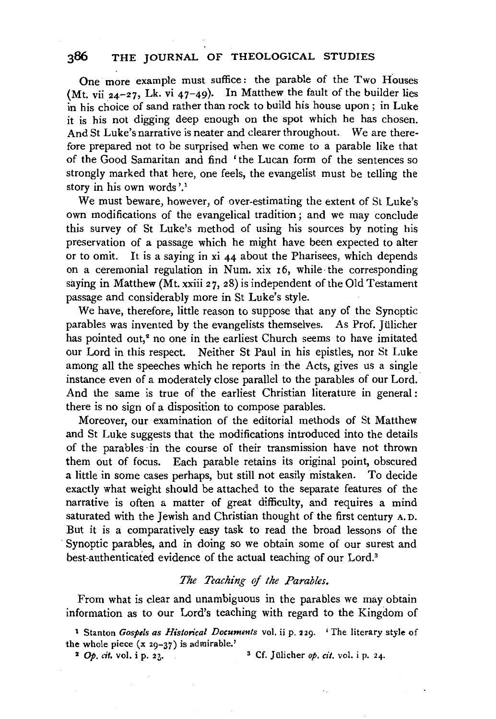# 386 THE JOURNAL OF THEOLOGICAL STUDIES

One more example must suffice : the parable of the Two Houses (Mt. vii  $24-27$ , Lk. vi  $47-49$ ). In Matthew the fault of the builder lies in his choice of sand rather than rock to build his house upon ; in Luke it is his not digging deep enough on the spot which he has chosen. And St Luke's narrative is neater and clearer throughout. *We* are therefore prepared not to be surprised when we come to a parable like that of the Good Samaritan and find 'the Lucan form of the sentences so strongly marked that here, one feels, the evangelist must be telling the story in his own words'.<sup>1</sup>

We must beware, however, of over-estimating the extent of St Luke's own modifications of the evangelical tradition; and we may conclude this survey of St Luke's method of using his sources by noting his preservation of a passage which he might have been expected to alter or to omit. It is a saying in  $xi$  44 about the Pharisees, which depends on a ceremonial regulation in Num. xix 16, while the corresponding saying in Matthew (Mt. xxiii 27, 28) is independent of the Old Testament passage and considerably more in St Luke's style.

We have, therefore, little reason to suppose that any of the Synoptic parables was invented by the evangelists themselves. As Prof. Jiilicher has pointed out,<sup>2</sup> no one in the earliest Church seems to have imitated our Lord in this respect. Neither St Paul in his epistles, nor St Luke among all the speeches which he reports in the Acts, gives us a single instance even of a moderately close parallel to the parables of our Lord. And the same is true of the earliest Christian literature in general : there is no sign of a disposition to compose parables.

Moreover, our examination of the editorial methods of St Matthew and St Luke suggests that the modifications introduced into the details of the parables ·in the course of their transmission have not thrown them out of focus. Each parable retains its original point, obscured a little in some cases perhaps, but still not easily mistaken. To decide exactly what weight should be attached to the separate features of the narrative is often a matter of great difficulty, and requires a mind saturated with the Jewish and Christian thought of the first century A. D. But it is a comparatively easy task to read the broad lessons of the Synoptic parables, and in doing so we obtain some of our surest and best-authenticated evidence of the actual teaching of our Lord."

### *The Teaching qf the Parables.*

From what is clear and unambiguous in the parables we may obtain information as to our Lord's teaching with regard to the Kingdom of

1 Stanton *Gospels as Historical Documents* vol. ii p. 229. 'The literary style of the whole piece  $(x 29-37)$  is admirable.'

<sup>2</sup> Op. *cit.* vol. i p. 23.  $\qquad \qquad$ <sup>3</sup> Cf. Jülicher *op. cit.* vol. i p. 24.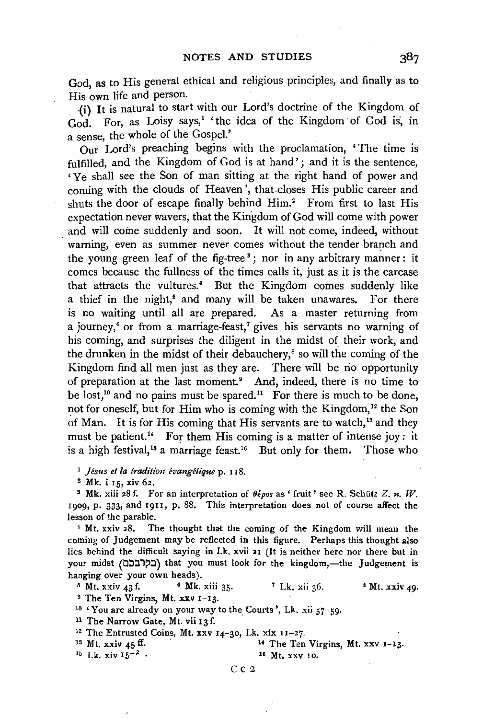God, as to His general ethical and religious principles, and finally as to His own life and person.

{i) It is natural to start with our Lord's doctrine of the Kingdom of God. For, as Loisy says,<sup>1</sup> 'the idea of the Kingdom of God is, in a sense, the whole of the Gospel.'

Our Lord's preaching begins with the proclamation, ' The time is fulfilled, and the Kingdom of God is at hand'; and it is the sentence, ' Ye shall see the Son of man sitting at the right hand of power and coming with the clouds of Heaven', that.closes His public career and shuts the door of escape finally behind  $\text{Him}^2$ . From first to last His expectation never wavers, that the Kingdom of God will come with power and will come suddenly and soon. It will not come, indeed, without warning, even as summer never comes without the tender branch and the young green leaf of the fig-tree<sup>3</sup>; nor in any arbitrary manner: it comes because the fullness of the times calls it, just as it is the carcase that attracts the vultures.<sup>4</sup> But the Kingdom comes suddenly like a thief in the night,<sup>5</sup> and many will be taken unawares. For there is no waiting until all are prepared. As a master returning from a journey," or from a marriage-feast,' gives his servants no warning of his coming, and surprises the diligent in the midst of their work, and the drunken in the midst of their debauchery,<sup>8</sup> so will the coming of the Kingdom find all men just as they are. There will be no opportunity of preparation at the last moment.• And, indeed, there is no time to be lost,<sup>10</sup> and no pains must be spared.<sup>11</sup> For there is much to be done, not for oneself, but for Him who is coming with the Kingdom, $<sup>12</sup>$  the Son</sup> of Man. It is for His coming that His servants are to watch,<sup>13</sup> and they must be patient.<sup>14</sup> For them His coming is a matter of intense joy: it is a high festival,<sup>15</sup> a marriage feast.<sup>16</sup> But only for them. Those who

<sup>1</sup> Jésus et la tradition évangélique p. 118.

<sup>2</sup> Mk. i 15, xiv 62.<br><sup>3</sup> Mk. xiii 28 f. For an interpretation of θέροs as ' fruit ' see R. Schütz Z. *n. W*. 1909, p. 333, and 19I1, p. 88. This interpretation does not of course affect the lesson of the parable.<br>4 Mt. xxiv 28. The thought that the coming of the Kingdom will mean the

coming of Judgement may be reflected in this figure. Perhaps this thought also lies behind the difficult saying in Lk. xvii 21 (It is neither here nor there but in your midst (בקרבכם) that you must look for the kingdom,-the Judgement is hanging over your own heads).

<sup>5</sup> Mt. xxiv 43 f. <sup>6</sup> Mk. xiii 35. <sup>7</sup> Lk. xii 36. <sup>8</sup> Mt. xxiv 49.<br><sup>9</sup> The Ten Virgins, Mt. xxv 1-13.

<sup>10</sup> 'You are already on your way to the Courts', Lk. xii 57-59· <sup>11</sup> The Narrow Gate, Mt. vii 13 f. <sup>12</sup> The Entrusted Coins, Mt. xxv 14-30, Lk. xix 11-27.

<sup>13</sup> Mt. xxiv  $45$  ff.  $\frac{14}{15}$  The Ten Virgins, Mt. xxv 1-13.<br><sup>15</sup> Lk. xiv  $15^{-2}$  • 16 Mt. xxv 10.

#### Cc<sub>2</sub>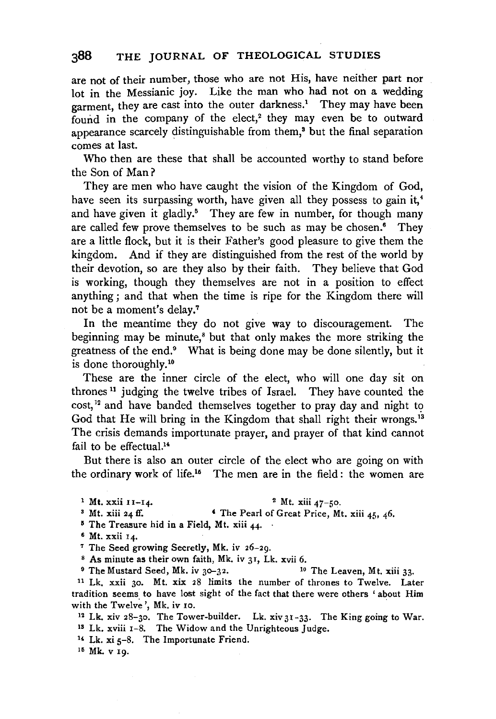are not of their number, those who are not His, have neither part nor lot in the Messianic joy. Like the man who had not on a wedding garment, they are cast into the outer darkness.<sup>1</sup> They may have been found in the company of the elect, $^2$  they may even be to outward appearance scarcely distinguishable from them,3 but the final separation comes at last.

Who then are these that shall be accounted worthy to stand before the Son of Man?

They are men who have caught the vision of the Kingdom of God, have seen its surpassing worth, have given all they possess to gain it,<sup>4</sup> and have given it gladly.<sup>5</sup> They are few in number, for though many are called few prove themselves to be such as may be chosen.<sup>6</sup> They are a little flock, but it is their Father's good pleasure to give them the kingdom. And if they are distinguished from the rest of the world by their devotion, so are they also by their faith. They believe that God is working, though they themselves are not in a position to effect anything ; and that when the time is ripe for the Kingdom there will not be a moment's delay.7

In the meantime they do not give way to discouragement. The beginning may be minute,<sup>8</sup> but that only makes the more striking the greatness of the end.<sup>9</sup> What is being done may be done silently, but it is done thoroughly.<sup>10</sup>

These are the inner circle of the elect, who will one day sit on thrones 11 judging the twelve tribes of Israel. They have counted the cost,<sup>12</sup> and have banded themselves together to pray day and night to God that He will bring in the Kingdom that shall right their wrongs.<sup>13</sup> The crisis demands importunate prayer, and prayer of that kind cannot fail to be effectual.<sup>14</sup>

But there is also an outer circle of the elect who are going on with the ordinary work of life.<sup>15</sup> The men are in the field: the women are

<sup>1</sup> Mt. xxii II-14. <sup>2</sup> Mt. xiii 47-50.<br><sup>3</sup> Mt. xiii 24 ff. **4The Pearl of Great Price, Mt. xiii 45, 46.** 

 $5$  The Treasure hid in a Field, Mt. xiii 44.

 $6$  Mt. xxii  $14$ .

<sup>7</sup> The Seed growing Secretly, Mk. iv 26-29.

<sup>8</sup> As minute as their own faith, Mk. iv 31, Lk. xvii 6. <sup>10</sup> The Leaven, Mt. xiii 33. <sup>9</sup> The Mustard Seed, Mk. iv 30–32.

<sup>11</sup> Lk. xxii 30. Mt. xix 28 limits the number of thrones to Twelve. Later tradition seems to have lost sight of the fact that there were others 'about Him with the Twelve', Mk. iv 10. . . . . . 12 Lk. xiv 31-33. The King going to War.

Is Lk. xviii 1-8. The Widow and the Unrighteous Judge.

<sup>14</sup> Lk. xi  $5-8$ . The Importunate Friend.

15 Mk. v Ig.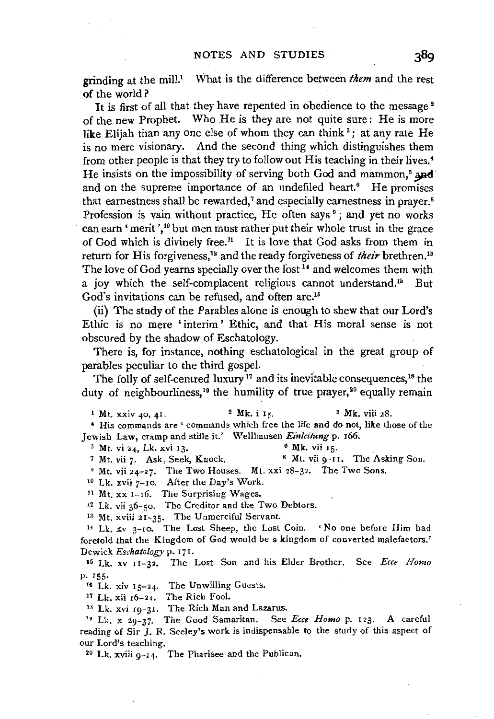grinding at the mill.' What is the difference between *them* and the rest of the world ?

It is first of all that they have repented in obedience to the message<sup>2</sup> of the new Prophet. Who He is they are not quite sure: He is more like Elijah than any one else of whom they can think<sup>3</sup>; at any rate He is no mere visionary. And the second thing which distinguishes them from other people is that they try to follow out His teaching in their lives.<sup>4</sup> He insists on the impossibility of serving both God and mammon, $<sup>5</sup>$  and</sup> and on the supreme importance of an undefiled heart.<sup>6</sup> He promises that earnestness shall be rewarded,<sup>7</sup> and especially earnestness in prayer.<sup>8</sup> Profession is vain without practice, He often says<sup>9</sup>; and yet no works can earn 'merit', 10 but men must rather put their whole trust in the grace of God which is divinely free.<sup>11</sup> It is love that God asks from them in return for His forgiveness.<sup>12</sup> and the ready forgiveness of *their* brethren.<sup>18</sup> The love of God yearns specially over the lost <sup>14</sup> and welcomes them with a joy which the self-complacent religious cannot understand.<sup>15</sup> But God's invitations can be refused, and often are.16

(ii) The study of the Parables alone is enough to shew that our Lord's Ethic is no mere 'interim ' Ethic, and that His moral sense is not obscured by the shadow of Eschatology.

There is, for instance, nothing eschatological in the great group of parables peculiar to the third gospel.

The folly of self-centred luxury<sup>17</sup> and its inevitable consequences,<sup>18</sup> the duty of neighbourliness,<sup>19</sup> the humility of true prayer,<sup>20</sup> equally remain

<sup>1</sup> Mt. xxiv 40, 41. <sup>2</sup> Mk. i 15. <sup>3</sup> Mk. viii 28. • His commands are ' commands which free the life and do not, like those of the Jewish Law, cramp and stifle it.' Wellhausen *Einleitung* p. 166.<br><sup>5</sup> Mt. vi 24, Lk. xvi 13. <sup>6</sup> Mk. vii 15.<br><sup>8</sup> Mt. vii 9-11. The Asking Son.

 $9$  Mt. vii 24-27. The Two Houses. Mt. xxi 28-32. The Two Sons.

<sup>10</sup> Lk. xvii 7-10. After the Day's Work.

11 Mt. xx 1-16. The Surprising Wages.

12 Lk. vii 36-50. The Creditor and the Two Debtors.

<sup>13</sup> Mt. xviii 21-35. The Unmerciful Servant.

14 Lk, xv 3-10. The Lost Sheep, the Lost Coin. 'No one before Him had foretold that the Kingdom of God would be a kingdom of converted malefactors.' Dewick *Eschatology* p. 171.

<sup>15</sup> Lk. xv 11-32. The Lost Son and his Elder Brother. See *Ecce Homo* p. 155·

16 Lk. xiv 15-24. The Unwilling Guests.

17 Lk. xii r6-21. The Rich Fool.

<sup>18</sup> Lk. xvi 19-31. The Rich Man and Lazarus.

<sup>19</sup> Lk. x 29-37. The Good Samaritan. See *Ecce Homo* p. 123. A careful reading of Sir J. R. Seeley's work is indispensable to the study of this aspect of our Lord's teaching.<br><sup>20</sup> Lk. xviii 9-14. The Pharisee and the Publican.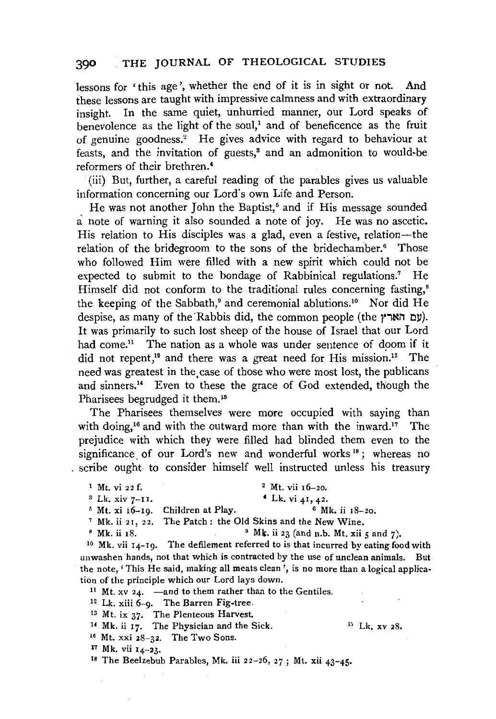lessons for 'this age', whether the end of it is in sight or not. And these lessons are taught with impressive calmness and with extraordinary insight. In the same quiet, unhurried manner, our Lord speaks of benevolence as the light of the soul,<sup>1</sup> and of beneficence as the fruit of genuine goodness.<sup>2</sup> He gives advice with regard to behaviour at feasts, and the invitation of guests,<sup>3</sup> and an admonition to would-be reformers of their brethren.'

(iii) But, further, a careful reading of the parables gives us valuable information concerning our Lord's own Life and Person.

He was not another John the Baptist,<sup>6</sup> and if His message sounded a note of warning it also sounded a note of joy. He was no ascetic. His relation to His disciples was a glad, even a festive, relation—the relation of the bridegroom to the sons of the bridechamber.<sup>6</sup> Those who followed Him were filled with a new spirit which could not be expected to submit to the bondage of Rabbinical regulations.<sup>7</sup> He Himself did not conform to the traditional rules concerning fasting,<sup>8</sup> the keeping of the Sabbath,<sup>9</sup> and ceremonial ablutions.<sup>10</sup> Nor did He despise, as many of the Rabbis did, the common people (the *(עם הארץ*). It was primarily to such lost sheep of the house of Israel that our Lord had come.<sup>11</sup> The nation as a whole was under sentence of doom if it did not repent,<sup>12</sup> and there was a great need for His mission.<sup>13</sup> The need was greatest in the, case of those who were most lost, the publicans and sinners.14 Even to these the grace of God extended, though the Pharisees begrudged it them.<sup>15</sup>

The Pharisees themselves were more occupied with saying than with doing.<sup>16</sup> and with the outward more than with the inward.<sup>17</sup> The prejudice with which they were filled had blinded them even to the significance of our Lord's new and wonderful works<sup>18</sup>; whereas no scribe ought to consider himself well instructed unless his treasury

- $1 \text{ Mt. vi } 22 \text{ f.}$   $2 \text{ Mt. vi } 16-20.$ 
	-

<sup>3</sup> Lk. xiv 7-11.<br>
<sup>5</sup> Mt. xi 16-19. Children at Play.<br>
<sup>7</sup> Mk. ii 21, 22. The Patch: the Old Skins and the New Wine.<br>
<sup>8</sup> Mk. ii 18.<br>
<sup>8</sup> Mk. ii 18.<br>
<sup>9</sup> Mk. ii 23 (and n.b. Mt. xii 5 and 7).<br>
<sup>10</sup> Mk. vii 14-19. The def unwashen hands, not that which is contracted by the use of unclean animals. But the note,' This He said, making all meats clean', is no more than a logical application of the principle which our Lord lays down.

<sup>11</sup> Mt. xv  $24.$  -and to them rather than to the Gentiles.

12 Lk. xiii 6-9. The Barren Fig-tree,

<sup>13</sup> Mt. ix 37. The Plenteous Harvest.

<sup>14</sup> Mk. ii 17. The Physician and the Sick.  $^{15}$  Mt. xv 28. <sup>15</sup> Mt. xxi 28-32. The Two Sons.

17 Mk. vii 14-23.

Is The Beelzebub Parables, Mk. iii 22-26, *2j;* Mt. xii 43-45.